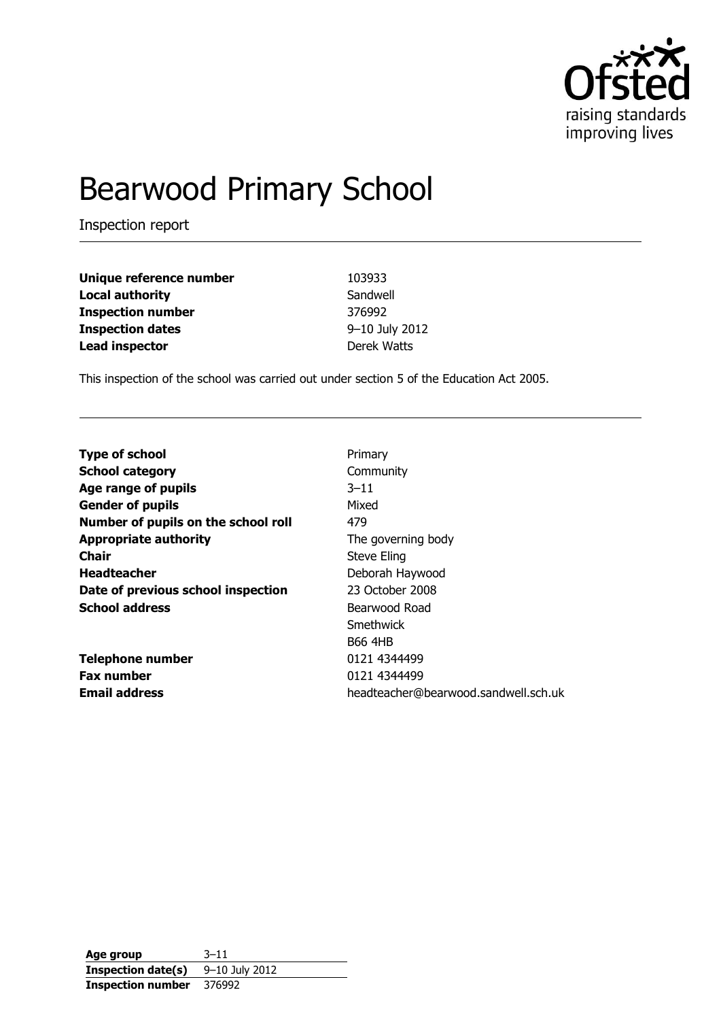

# Bearwood Primary School

Inspection report

| Unique reference number  | 103933         |
|--------------------------|----------------|
| <b>Local authority</b>   | Sandwell       |
| <b>Inspection number</b> | 376992         |
| <b>Inspection dates</b>  | 9-10 July 2012 |
| <b>Lead inspector</b>    | Derek Watts    |

This inspection of the school was carried out under section 5 of the Education Act 2005.

| <b>Type of school</b>               | Primary                              |
|-------------------------------------|--------------------------------------|
| <b>School category</b>              | Community                            |
| Age range of pupils                 | $3 - 11$                             |
| <b>Gender of pupils</b>             | Mixed                                |
| Number of pupils on the school roll | 479                                  |
| <b>Appropriate authority</b>        | The governing body                   |
| <b>Chair</b>                        | Steve Eling                          |
| <b>Headteacher</b>                  | Deborah Haywood                      |
| Date of previous school inspection  | 23 October 2008                      |
| <b>School address</b>               | Bearwood Road                        |
|                                     | Smethwick                            |
|                                     | <b>B66 4HB</b>                       |
| <b>Telephone number</b>             | 0121 4344499                         |
| <b>Fax number</b>                   | 0121 4344499                         |
| <b>Email address</b>                | headteacher@bearwood.sandwell.sch.uk |

**Age group** 3–11 **Inspection date(s)** 9-10 July 2012 **Inspection number** 376992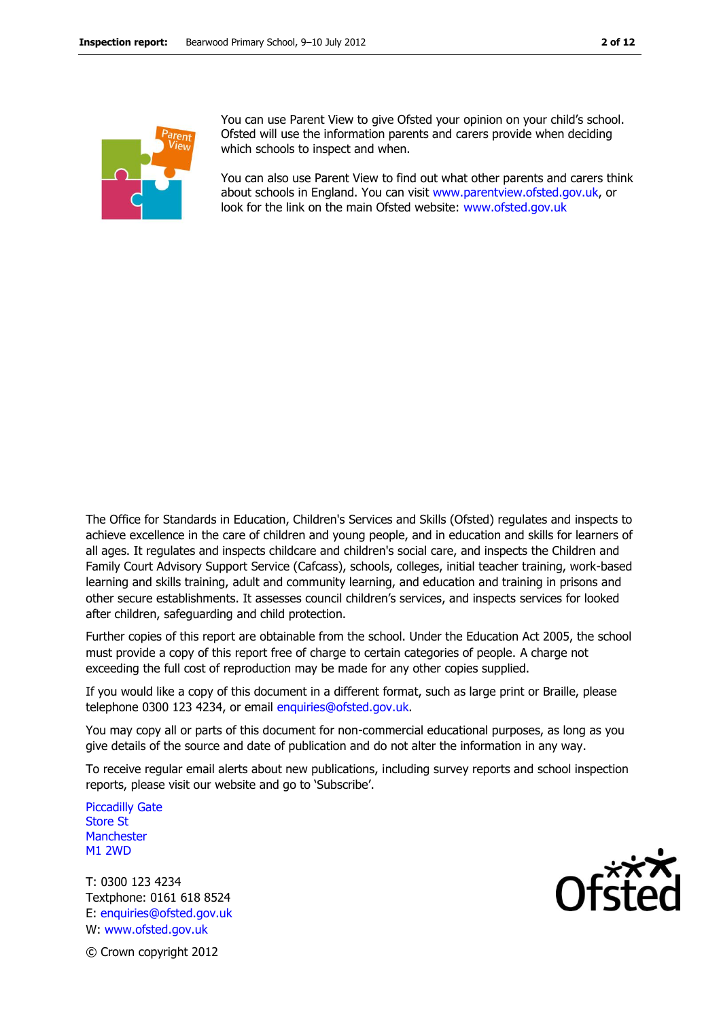

You can use Parent View to give Ofsted your opinion on your child's school. Ofsted will use the information parents and carers provide when deciding which schools to inspect and when.

You can also use Parent View to find out what other parents and carers think about schools in England. You can visit [www.parentview.ofsted.gov.uk,](http://www.parentview.ofsted.gov.uk/) or look for the link on the main Ofsted website: [www.ofsted.gov.uk](http://www.ofsted.gov.uk/)

The Office for Standards in Education, Children's Services and Skills (Ofsted) regulates and inspects to achieve excellence in the care of children and young people, and in education and skills for learners of all ages. It regulates and inspects childcare and children's social care, and inspects the Children and Family Court Advisory Support Service (Cafcass), schools, colleges, initial teacher training, work-based learning and skills training, adult and community learning, and education and training in prisons and other secure establishments. It assesses council children's services, and inspects services for looked after children, safeguarding and child protection.

Further copies of this report are obtainable from the school. Under the Education Act 2005, the school must provide a copy of this report free of charge to certain categories of people. A charge not exceeding the full cost of reproduction may be made for any other copies supplied.

If you would like a copy of this document in a different format, such as large print or Braille, please telephone 0300 123 4234, or email enquiries@ofsted.gov.uk.

You may copy all or parts of this document for non-commercial educational purposes, as long as you give details of the source and date of publication and do not alter the information in any way.

To receive regular email alerts about new publications, including survey reports and school inspection reports, please visit our website and go to 'Subscribe'.

Piccadilly Gate Store St **Manchester** M1 2WD

T: 0300 123 4234 Textphone: 0161 618 8524 E: enquiries@ofsted.gov.uk W: www.ofsted.gov.uk



© Crown copyright 2012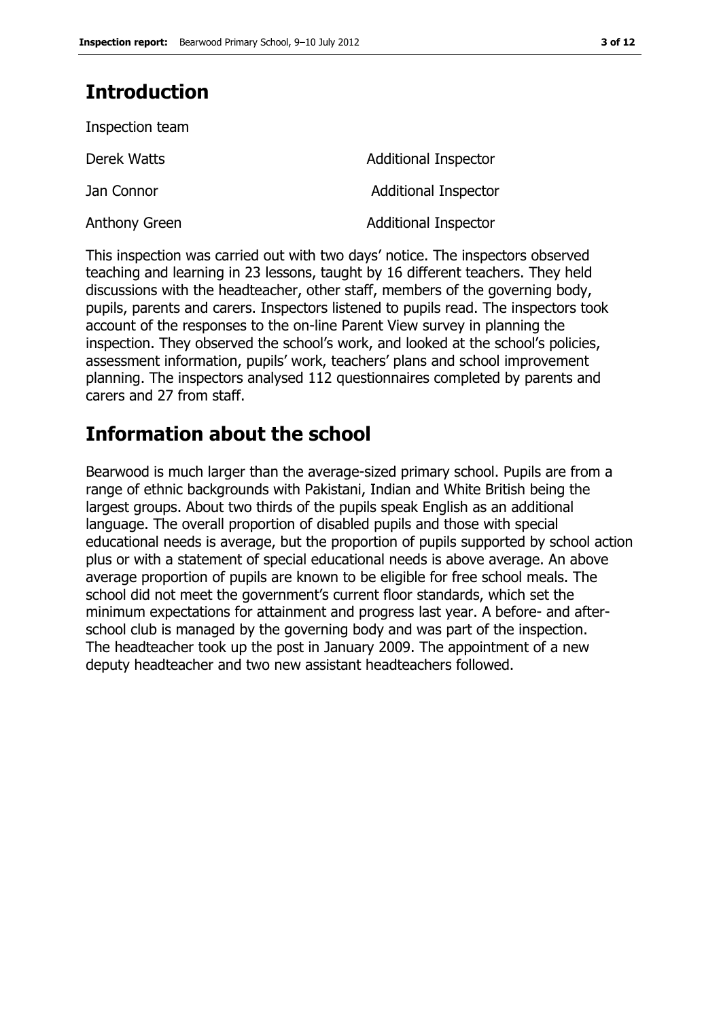# **Introduction**

| Inspection team |                             |
|-----------------|-----------------------------|
| Derek Watts     | <b>Additional Inspector</b> |
| Jan Connor      | <b>Additional Inspector</b> |
| Anthony Green   | <b>Additional Inspector</b> |

This inspection was carried out with two days' notice. The inspectors observed teaching and learning in 23 lessons, taught by 16 different teachers. They held discussions with the headteacher, other staff, members of the governing body, pupils, parents and carers. Inspectors listened to pupils read. The inspectors took account of the responses to the on-line Parent View survey in planning the inspection. They observed the school's work, and looked at the school's policies, assessment information, pupils' work, teachers' plans and school improvement planning. The inspectors analysed 112 questionnaires completed by parents and carers and 27 from staff.

## **Information about the school**

Bearwood is much larger than the average-sized primary school. Pupils are from a range of ethnic backgrounds with Pakistani, Indian and White British being the largest groups. About two thirds of the pupils speak English as an additional language. The overall proportion of disabled pupils and those with special educational needs is average, but the proportion of pupils supported by school action plus or with a statement of special educational needs is above average. An above average proportion of pupils are known to be eligible for free school meals. The school did not meet the government's current floor standards, which set the minimum expectations for attainment and progress last year. A before- and afterschool club is managed by the governing body and was part of the inspection. The headteacher took up the post in January 2009. The appointment of a new deputy headteacher and two new assistant headteachers followed.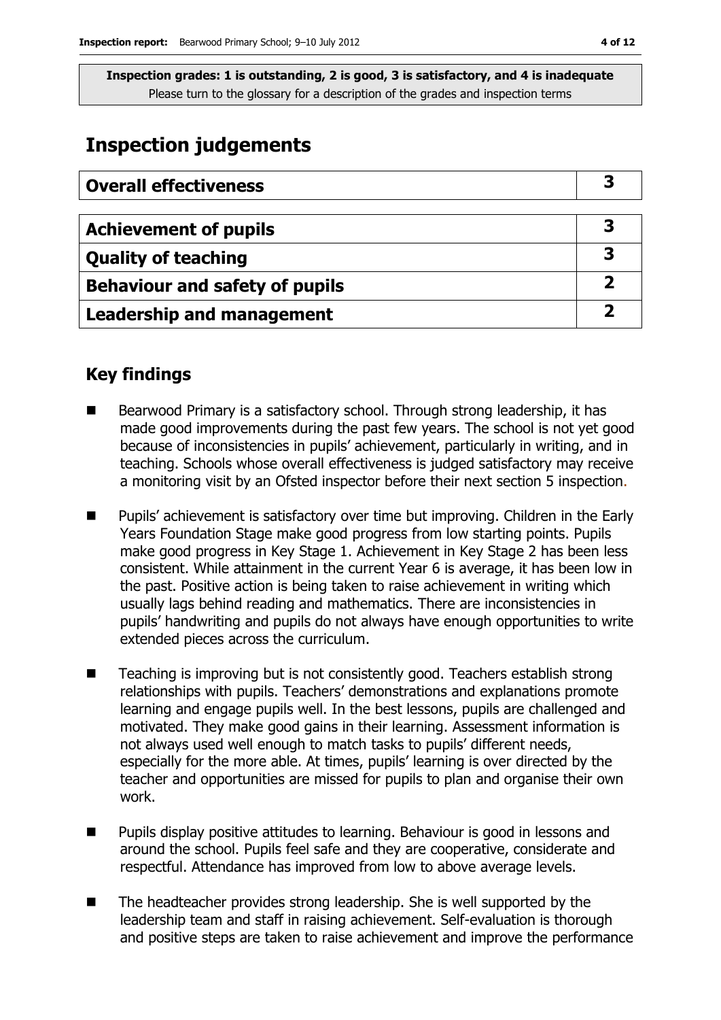### **Inspection judgements**

| <b>Overall effectiveness</b>          |  |
|---------------------------------------|--|
|                                       |  |
| <b>Achievement of pupils</b>          |  |
| <b>Quality of teaching</b>            |  |
| <b>Behaviour and safety of pupils</b> |  |
| <b>Leadership and management</b>      |  |

### **Key findings**

- Bearwood Primary is a satisfactory school. Through strong leadership, it has made good improvements during the past few years. The school is not yet good because of inconsistencies in pupils' achievement, particularly in writing, and in teaching. Schools whose overall effectiveness is judged satisfactory may receive a monitoring visit by an Ofsted inspector before their next section 5 inspection.
- Pupils' achievement is satisfactory over time but improving. Children in the Early Years Foundation Stage make good progress from low starting points. Pupils make good progress in Key Stage 1. Achievement in Key Stage 2 has been less consistent. While attainment in the current Year 6 is average, it has been low in the past. Positive action is being taken to raise achievement in writing which usually lags behind reading and mathematics. There are inconsistencies in pupils' handwriting and pupils do not always have enough opportunities to write extended pieces across the curriculum.
- Teaching is improving but is not consistently good. Teachers establish strong relationships with pupils. Teachers' demonstrations and explanations promote learning and engage pupils well. In the best lessons, pupils are challenged and motivated. They make good gains in their learning. Assessment information is not always used well enough to match tasks to pupils' different needs, especially for the more able. At times, pupils' learning is over directed by the teacher and opportunities are missed for pupils to plan and organise their own work.
- Pupils display positive attitudes to learning. Behaviour is good in lessons and around the school. Pupils feel safe and they are cooperative, considerate and respectful. Attendance has improved from low to above average levels.
- The headteacher provides strong leadership. She is well supported by the leadership team and staff in raising achievement. Self-evaluation is thorough and positive steps are taken to raise achievement and improve the performance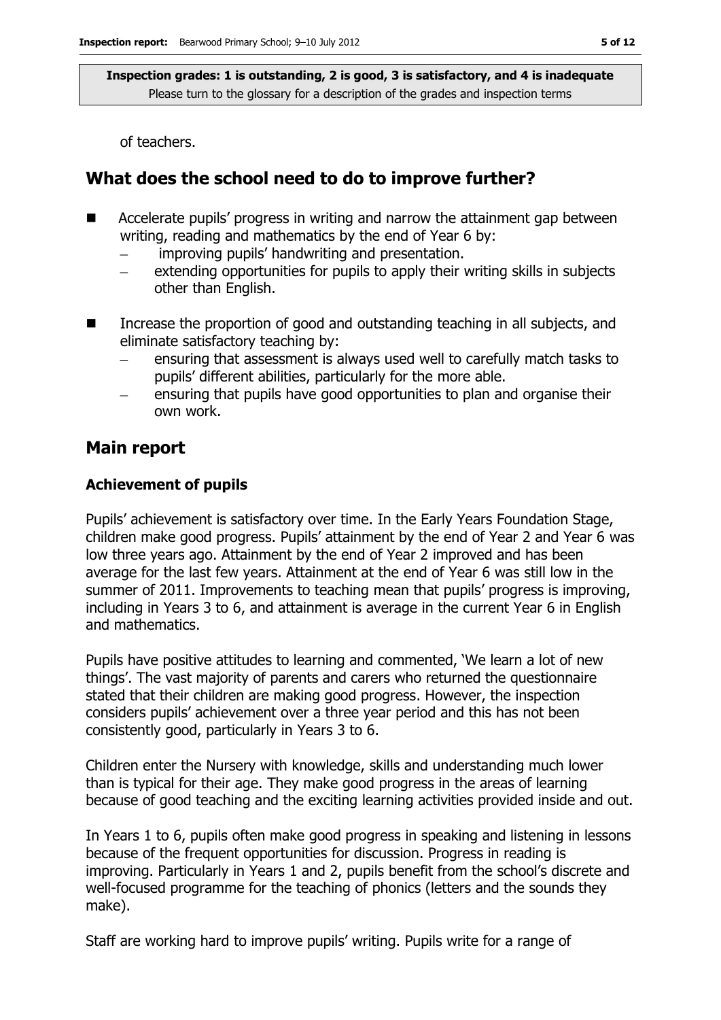of teachers.

### **What does the school need to do to improve further?**

- **EXTE:** Accelerate pupils' progress in writing and narrow the attainment gap between writing, reading and mathematics by the end of Year 6 by:
	- improving pupils' handwriting and presentation.
	- extending opportunities for pupils to apply their writing skills in subjects other than English.
- Increase the proportion of good and outstanding teaching in all subjects, and eliminate satisfactory teaching by:
	- ensuring that assessment is always used well to carefully match tasks to pupils' different abilities, particularly for the more able.
	- ensuring that pupils have good opportunities to plan and organise their own work.

### **Main report**

#### **Achievement of pupils**

Pupils' achievement is satisfactory over time. In the Early Years Foundation Stage, children make good progress. Pupils' attainment by the end of Year 2 and Year 6 was low three years ago. Attainment by the end of Year 2 improved and has been average for the last few years. Attainment at the end of Year 6 was still low in the summer of 2011. Improvements to teaching mean that pupils' progress is improving, including in Years 3 to 6, and attainment is average in the current Year 6 in English and mathematics.

Pupils have positive attitudes to learning and commented, 'We learn a lot of new things'. The vast majority of parents and carers who returned the questionnaire stated that their children are making good progress. However, the inspection considers pupils' achievement over a three year period and this has not been consistently good, particularly in Years 3 to 6.

Children enter the Nursery with knowledge, skills and understanding much lower than is typical for their age. They make good progress in the areas of learning because of good teaching and the exciting learning activities provided inside and out.

In Years 1 to 6, pupils often make good progress in speaking and listening in lessons because of the frequent opportunities for discussion. Progress in reading is improving. Particularly in Years 1 and 2, pupils benefit from the school's discrete and well-focused programme for the teaching of phonics (letters and the sounds they make).

Staff are working hard to improve pupils' writing. Pupils write for a range of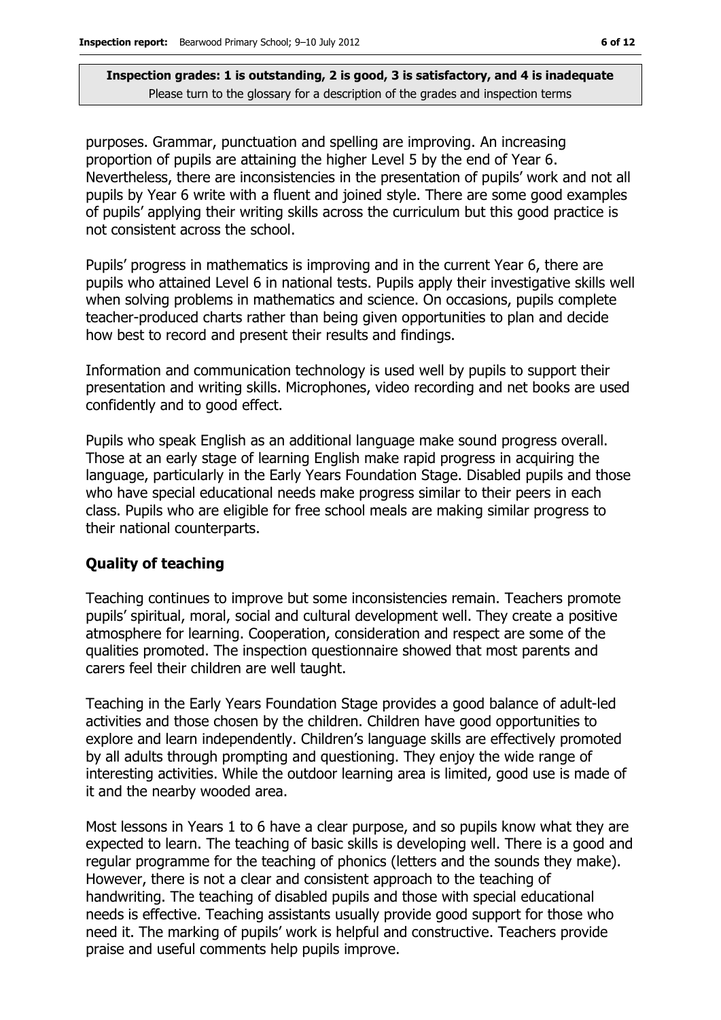purposes. Grammar, punctuation and spelling are improving. An increasing proportion of pupils are attaining the higher Level 5 by the end of Year 6. Nevertheless, there are inconsistencies in the presentation of pupils' work and not all pupils by Year 6 write with a fluent and joined style. There are some good examples of pupils' applying their writing skills across the curriculum but this good practice is not consistent across the school.

Pupils' progress in mathematics is improving and in the current Year 6, there are pupils who attained Level 6 in national tests. Pupils apply their investigative skills well when solving problems in mathematics and science. On occasions, pupils complete teacher-produced charts rather than being given opportunities to plan and decide how best to record and present their results and findings.

Information and communication technology is used well by pupils to support their presentation and writing skills. Microphones, video recording and net books are used confidently and to good effect.

Pupils who speak English as an additional language make sound progress overall. Those at an early stage of learning English make rapid progress in acquiring the language, particularly in the Early Years Foundation Stage. Disabled pupils and those who have special educational needs make progress similar to their peers in each class. Pupils who are eligible for free school meals are making similar progress to their national counterparts.

#### **Quality of teaching**

Teaching continues to improve but some inconsistencies remain. Teachers promote pupils' spiritual, moral, social and cultural development well. They create a positive atmosphere for learning. Cooperation, consideration and respect are some of the qualities promoted. The inspection questionnaire showed that most parents and carers feel their children are well taught.

Teaching in the Early Years Foundation Stage provides a good balance of adult-led activities and those chosen by the children. Children have good opportunities to explore and learn independently. Children's language skills are effectively promoted by all adults through prompting and questioning. They enjoy the wide range of interesting activities. While the outdoor learning area is limited, good use is made of it and the nearby wooded area.

Most lessons in Years 1 to 6 have a clear purpose, and so pupils know what they are expected to learn. The teaching of basic skills is developing well. There is a good and regular programme for the teaching of phonics (letters and the sounds they make). However, there is not a clear and consistent approach to the teaching of handwriting. The teaching of disabled pupils and those with special educational needs is effective. Teaching assistants usually provide good support for those who need it. The marking of pupils' work is helpful and constructive. Teachers provide praise and useful comments help pupils improve.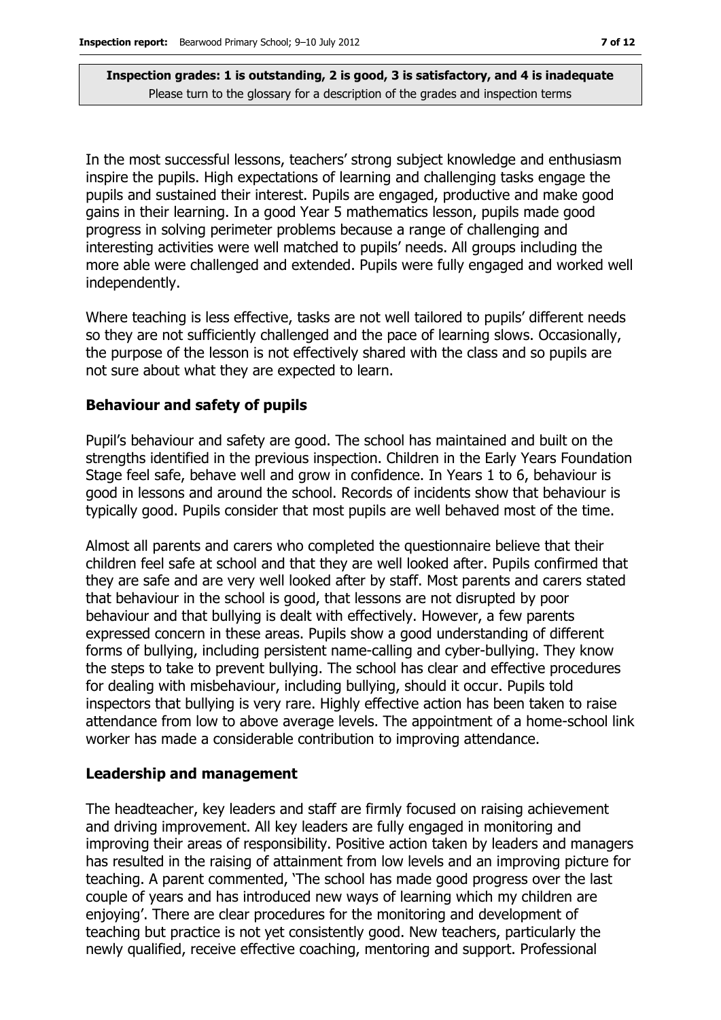In the most successful lessons, teachers' strong subject knowledge and enthusiasm inspire the pupils. High expectations of learning and challenging tasks engage the pupils and sustained their interest. Pupils are engaged, productive and make good gains in their learning. In a good Year 5 mathematics lesson, pupils made good progress in solving perimeter problems because a range of challenging and interesting activities were well matched to pupils' needs. All groups including the more able were challenged and extended. Pupils were fully engaged and worked well independently.

Where teaching is less effective, tasks are not well tailored to pupils' different needs so they are not sufficiently challenged and the pace of learning slows. Occasionally, the purpose of the lesson is not effectively shared with the class and so pupils are not sure about what they are expected to learn.

#### **Behaviour and safety of pupils**

Pupil's behaviour and safety are good. The school has maintained and built on the strengths identified in the previous inspection. Children in the Early Years Foundation Stage feel safe, behave well and grow in confidence. In Years 1 to 6, behaviour is good in lessons and around the school. Records of incidents show that behaviour is typically good. Pupils consider that most pupils are well behaved most of the time.

Almost all parents and carers who completed the questionnaire believe that their children feel safe at school and that they are well looked after. Pupils confirmed that they are safe and are very well looked after by staff. Most parents and carers stated that behaviour in the school is good, that lessons are not disrupted by poor behaviour and that bullying is dealt with effectively. However, a few parents expressed concern in these areas. Pupils show a good understanding of different forms of bullying, including persistent name-calling and cyber-bullying. They know the steps to take to prevent bullying. The school has clear and effective procedures for dealing with misbehaviour, including bullying, should it occur. Pupils told inspectors that bullying is very rare. Highly effective action has been taken to raise attendance from low to above average levels. The appointment of a home-school link worker has made a considerable contribution to improving attendance.

#### **Leadership and management**

The headteacher, key leaders and staff are firmly focused on raising achievement and driving improvement. All key leaders are fully engaged in monitoring and improving their areas of responsibility. Positive action taken by leaders and managers has resulted in the raising of attainment from low levels and an improving picture for teaching. A parent commented, 'The school has made good progress over the last couple of years and has introduced new ways of learning which my children are enjoying'. There are clear procedures for the monitoring and development of teaching but practice is not yet consistently good. New teachers, particularly the newly qualified, receive effective coaching, mentoring and support. Professional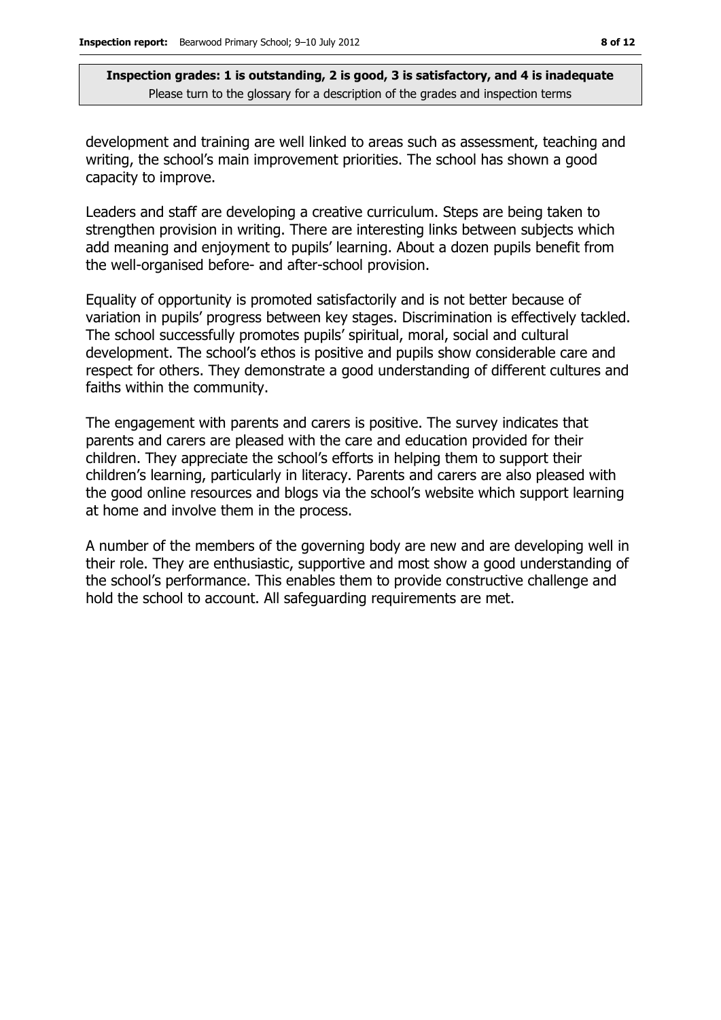development and training are well linked to areas such as assessment, teaching and writing, the school's main improvement priorities. The school has shown a good capacity to improve.

Leaders and staff are developing a creative curriculum. Steps are being taken to strengthen provision in writing. There are interesting links between subjects which add meaning and enjoyment to pupils' learning. About a dozen pupils benefit from the well-organised before- and after-school provision.

Equality of opportunity is promoted satisfactorily and is not better because of variation in pupils' progress between key stages. Discrimination is effectively tackled. The school successfully promotes pupils' spiritual, moral, social and cultural development. The school's ethos is positive and pupils show considerable care and respect for others. They demonstrate a good understanding of different cultures and faiths within the community.

The engagement with parents and carers is positive. The survey indicates that parents and carers are pleased with the care and education provided for their children. They appreciate the school's efforts in helping them to support their children's learning, particularly in literacy. Parents and carers are also pleased with the good online resources and blogs via the school's website which support learning at home and involve them in the process.

A number of the members of the governing body are new and are developing well in their role. They are enthusiastic, supportive and most show a good understanding of the school's performance. This enables them to provide constructive challenge and hold the school to account. All safeguarding requirements are met.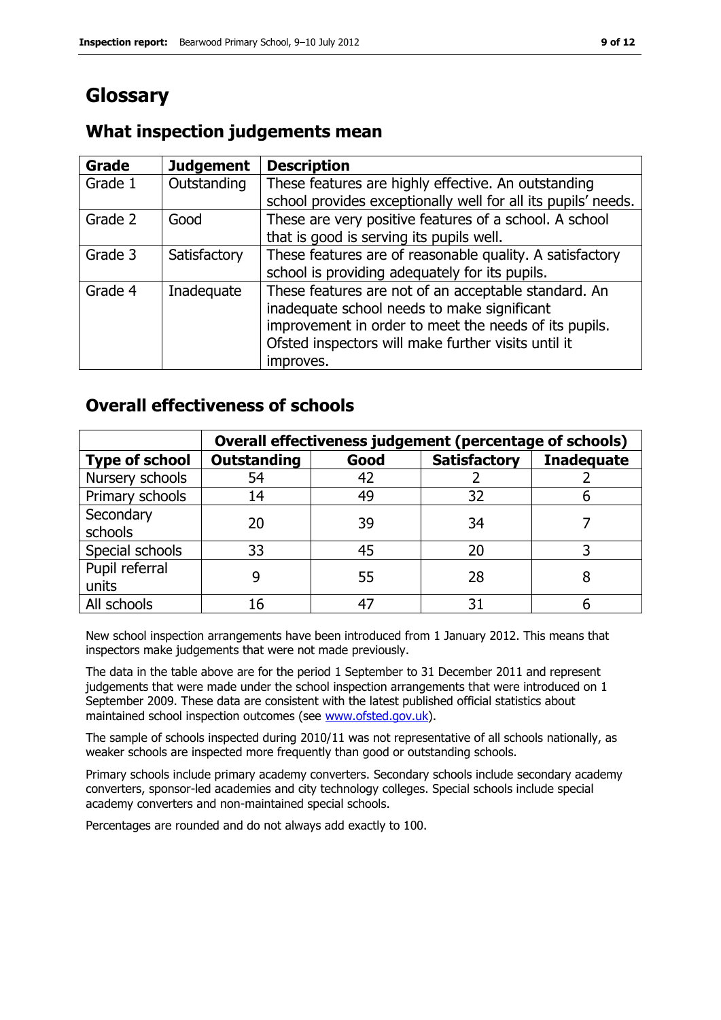# **Glossary**

### **What inspection judgements mean**

| <b>Grade</b> | <b>Judgement</b> | <b>Description</b>                                            |
|--------------|------------------|---------------------------------------------------------------|
| Grade 1      | Outstanding      | These features are highly effective. An outstanding           |
|              |                  | school provides exceptionally well for all its pupils' needs. |
| Grade 2      | Good             | These are very positive features of a school. A school        |
|              |                  | that is good is serving its pupils well.                      |
| Grade 3      | Satisfactory     | These features are of reasonable quality. A satisfactory      |
|              |                  | school is providing adequately for its pupils.                |
| Grade 4      | Inadequate       | These features are not of an acceptable standard. An          |
|              |                  | inadequate school needs to make significant                   |
|              |                  | improvement in order to meet the needs of its pupils.         |
|              |                  | Ofsted inspectors will make further visits until it           |
|              |                  | improves.                                                     |

### **Overall effectiveness of schools**

|                         | Overall effectiveness judgement (percentage of schools) |      |                     |                   |
|-------------------------|---------------------------------------------------------|------|---------------------|-------------------|
| <b>Type of school</b>   | <b>Outstanding</b>                                      | Good | <b>Satisfactory</b> | <b>Inadequate</b> |
| Nursery schools         | 54                                                      | 42   |                     |                   |
| Primary schools         | 14                                                      | 49   | 32                  |                   |
| Secondary<br>schools    | 20                                                      | 39   | 34                  |                   |
| Special schools         | 33                                                      | 45   | 20                  |                   |
| Pupil referral<br>units |                                                         | 55   | 28                  |                   |
| All schools             | 16                                                      |      | 31                  |                   |

New school inspection arrangements have been introduced from 1 January 2012. This means that inspectors make judgements that were not made previously.

The data in the table above are for the period 1 September to 31 December 2011 and represent judgements that were made under the school inspection arrangements that were introduced on 1 September 2009. These data are consistent with the latest published official statistics about maintained school inspection outcomes (see [www.ofsted.gov.uk\)](http://www.ofsted.gov.uk/).

The sample of schools inspected during 2010/11 was not representative of all schools nationally, as weaker schools are inspected more frequently than good or outstanding schools.

Primary schools include primary academy converters. Secondary schools include secondary academy converters, sponsor-led academies and city technology colleges. Special schools include special academy converters and non-maintained special schools.

Percentages are rounded and do not always add exactly to 100.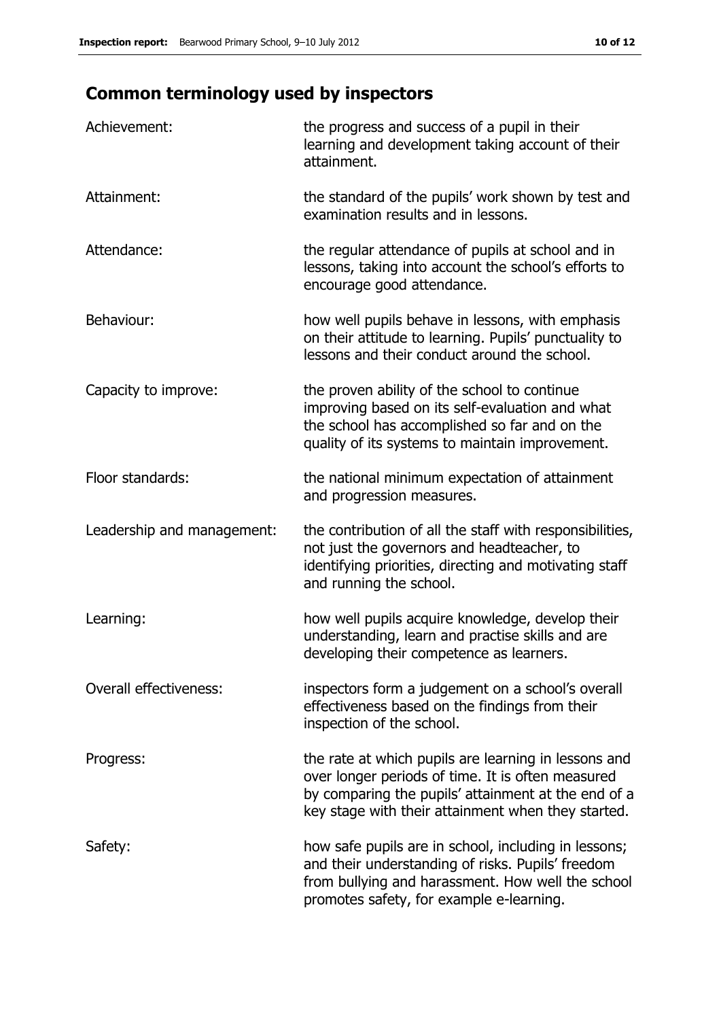# **Common terminology used by inspectors**

| Achievement:                  | the progress and success of a pupil in their<br>learning and development taking account of their<br>attainment.                                                                                                        |
|-------------------------------|------------------------------------------------------------------------------------------------------------------------------------------------------------------------------------------------------------------------|
| Attainment:                   | the standard of the pupils' work shown by test and<br>examination results and in lessons.                                                                                                                              |
| Attendance:                   | the regular attendance of pupils at school and in<br>lessons, taking into account the school's efforts to<br>encourage good attendance.                                                                                |
| Behaviour:                    | how well pupils behave in lessons, with emphasis<br>on their attitude to learning. Pupils' punctuality to<br>lessons and their conduct around the school.                                                              |
| Capacity to improve:          | the proven ability of the school to continue<br>improving based on its self-evaluation and what<br>the school has accomplished so far and on the<br>quality of its systems to maintain improvement.                    |
| Floor standards:              | the national minimum expectation of attainment<br>and progression measures.                                                                                                                                            |
| Leadership and management:    | the contribution of all the staff with responsibilities,<br>not just the governors and headteacher, to<br>identifying priorities, directing and motivating staff<br>and running the school.                            |
| Learning:                     | how well pupils acquire knowledge, develop their<br>understanding, learn and practise skills and are<br>developing their competence as learners.                                                                       |
| <b>Overall effectiveness:</b> | inspectors form a judgement on a school's overall<br>effectiveness based on the findings from their<br>inspection of the school.                                                                                       |
| Progress:                     | the rate at which pupils are learning in lessons and<br>over longer periods of time. It is often measured<br>by comparing the pupils' attainment at the end of a<br>key stage with their attainment when they started. |
| Safety:                       | how safe pupils are in school, including in lessons;<br>and their understanding of risks. Pupils' freedom<br>from bullying and harassment. How well the school<br>promotes safety, for example e-learning.             |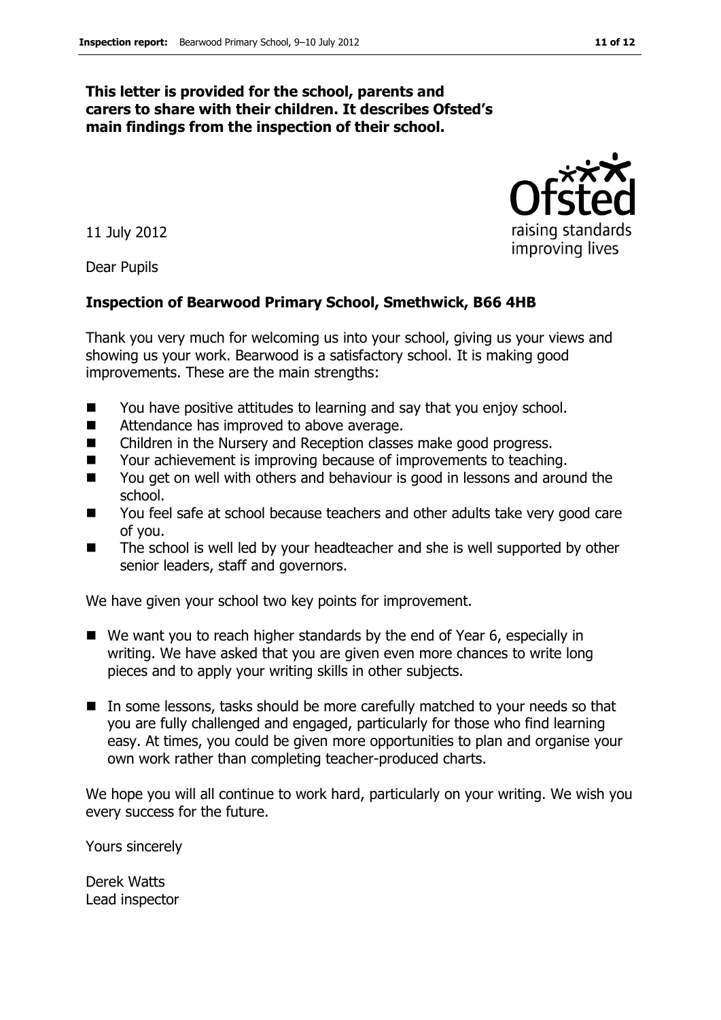#### **This letter is provided for the school, parents and carers to share with their children. It describes Ofsted's main findings from the inspection of their school.**

11 July 2012

Dear Pupils

#### **Inspection of Bearwood Primary School, Smethwick, B66 4HB**

Thank you very much for welcoming us into your school, giving us your views and showing us your work. Bearwood is a satisfactory school. It is making good improvements. These are the main strengths:

- You have positive attitudes to learning and say that you enjoy school.
- Attendance has improved to above average.
- Children in the Nursery and Reception classes make good progress.
- Your achievement is improving because of improvements to teaching.
- You get on well with others and behaviour is good in lessons and around the school.
- You feel safe at school because teachers and other adults take very good care of you.
- The school is well led by your headteacher and she is well supported by other senior leaders, staff and governors.

We have given your school two key points for improvement.

- We want you to reach higher standards by the end of Year 6, especially in writing. We have asked that you are given even more chances to write long pieces and to apply your writing skills in other subjects.
- In some lessons, tasks should be more carefully matched to your needs so that you are fully challenged and engaged, particularly for those who find learning easy. At times, you could be given more opportunities to plan and organise your own work rather than completing teacher-produced charts.

We hope you will all continue to work hard, particularly on your writing. We wish you every success for the future.

Yours sincerely

Derek Watts Lead inspector